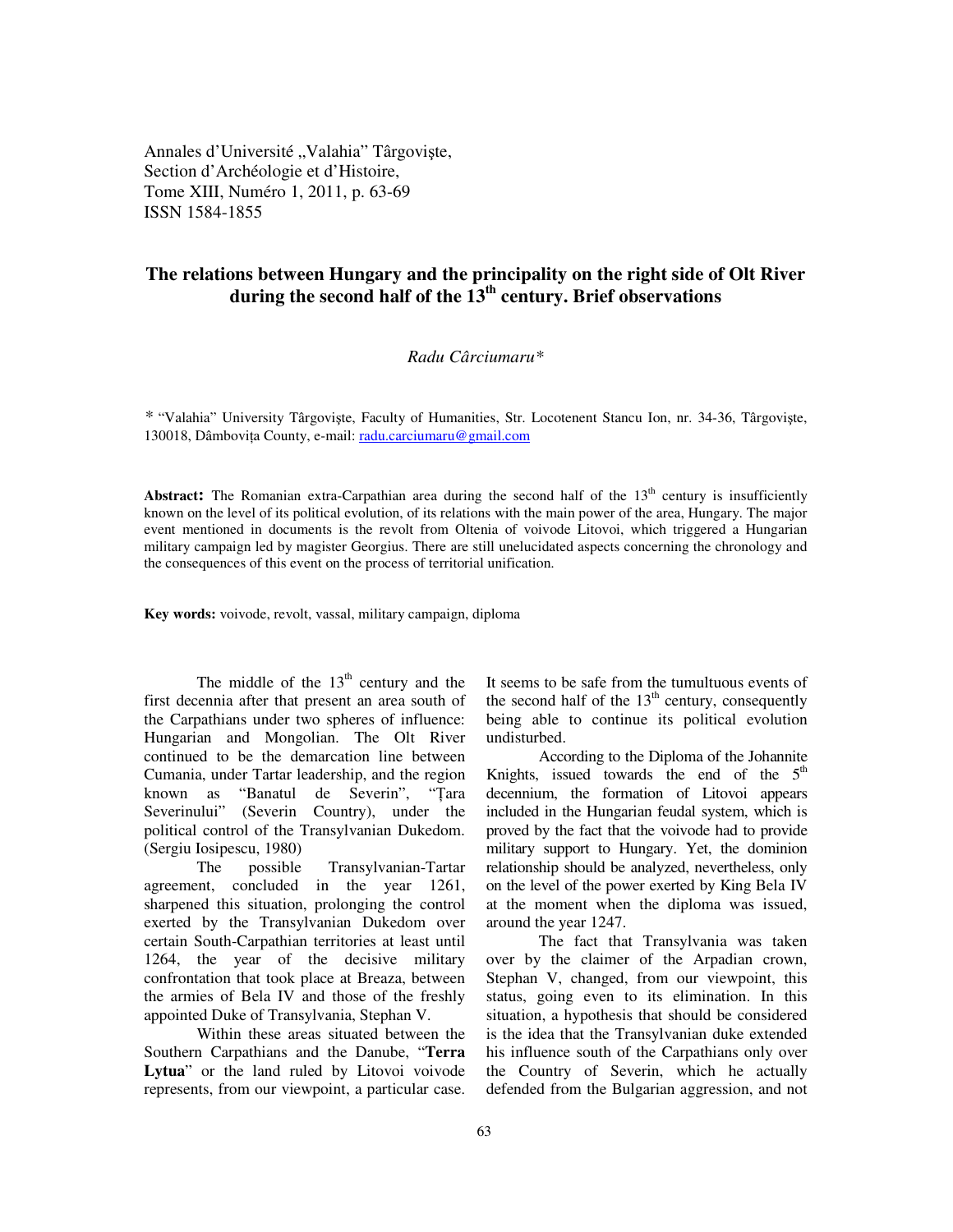Annales d'Université "Valahia" Târgoviște, Section d'Archéologie et d'Histoire, Tome XIII, Numéro 1, 2011, p. 63-69 ISSN 1584-1855

# **The relations between Hungary and the principality on the right side of Olt River during the second half of the 13th century. Brief observations**

## *Radu Cârciumaru\**

*\** "Valahia" University Târgovişte, Faculty of Humanities, Str. Locotenent Stancu Ion, nr. 34-36, Târgovişte, 130018, Dâmbovita County, e-mail: radu.carciumaru@gmail.com

**Abstract:** The Romanian extra-Carpathian area during the second half of the  $13<sup>th</sup>$  century is insufficiently known on the level of its political evolution, of its relations with the main power of the area, Hungary. The major event mentioned in documents is the revolt from Oltenia of voivode Litovoi, which triggered a Hungarian military campaign led by magister Georgius. There are still unelucidated aspects concerning the chronology and the consequences of this event on the process of territorial unification.

**Key words:** voivode, revolt, vassal, military campaign, diploma

The middle of the  $13<sup>th</sup>$  century and the first decennia after that present an area south of the Carpathians under two spheres of influence: Hungarian and Mongolian. The Olt River continued to be the demarcation line between Cumania, under Tartar leadership, and the region known as "Banatul de Severin", "Ţara Severinului" (Severin Country), under the political control of the Transylvanian Dukedom. (Sergiu Iosipescu, 1980)

The possible Transylvanian-Tartar agreement, concluded in the year 1261, sharpened this situation, prolonging the control exerted by the Transylvanian Dukedom over certain South-Carpathian territories at least until 1264, the year of the decisive military confrontation that took place at Breaza, between the armies of Bela IV and those of the freshly appointed Duke of Transylvania, Stephan V.

Within these areas situated between the Southern Carpathians and the Danube, "**Terra**  Lytua<sup>"</sup> or the land ruled by Litovoi voivode represents, from our viewpoint, a particular case. It seems to be safe from the tumultuous events of the second half of the  $13<sup>th</sup>$  century, consequently being able to continue its political evolution undisturbed.

According to the Diploma of the Johannite Knights, issued towards the end of the  $5<sup>th</sup>$ decennium, the formation of Litovoi appears included in the Hungarian feudal system, which is proved by the fact that the voivode had to provide military support to Hungary. Yet, the dominion relationship should be analyzed, nevertheless, only on the level of the power exerted by King Bela IV at the moment when the diploma was issued, around the year 1247.

The fact that Transylvania was taken over by the claimer of the Arpadian crown, Stephan V, changed, from our viewpoint, this status, going even to its elimination. In this situation, a hypothesis that should be considered is the idea that the Transylvanian duke extended his influence south of the Carpathians only over the Country of Severin, which he actually defended from the Bulgarian aggression, and not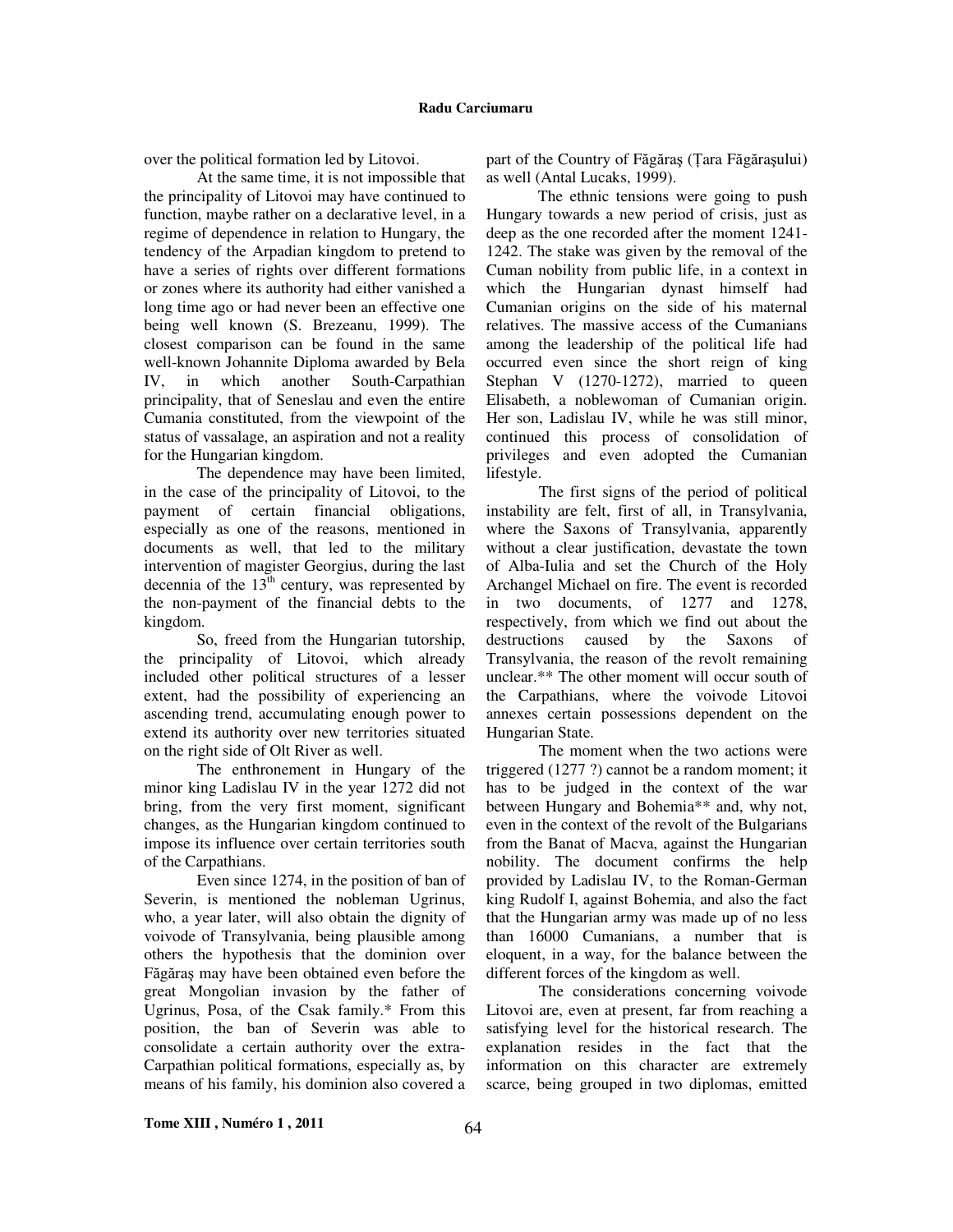over the political formation led by Litovoi.

At the same time, it is not impossible that the principality of Litovoi may have continued to function, maybe rather on a declarative level, in a regime of dependence in relation to Hungary, the tendency of the Arpadian kingdom to pretend to have a series of rights over different formations or zones where its authority had either vanished a long time ago or had never been an effective one being well known (S. Brezeanu, 1999). The closest comparison can be found in the same well-known Johannite Diploma awarded by Bela IV, in which another South-Carpathian principality, that of Seneslau and even the entire Cumania constituted, from the viewpoint of the status of vassalage, an aspiration and not a reality for the Hungarian kingdom.

The dependence may have been limited, in the case of the principality of Litovoi, to the payment of certain financial obligations, especially as one of the reasons, mentioned in documents as well, that led to the military intervention of magister Georgius, during the last decennia of the  $13<sup>th</sup>$  century, was represented by the non-payment of the financial debts to the kingdom.

So, freed from the Hungarian tutorship, the principality of Litovoi, which already included other political structures of a lesser extent, had the possibility of experiencing an ascending trend, accumulating enough power to extend its authority over new territories situated on the right side of Olt River as well.

The enthronement in Hungary of the minor king Ladislau IV in the year 1272 did not bring, from the very first moment, significant changes, as the Hungarian kingdom continued to impose its influence over certain territories south of the Carpathians.

Even since 1274, in the position of ban of Severin, is mentioned the nobleman Ugrinus, who, a year later, will also obtain the dignity of voivode of Transylvania, being plausible among others the hypothesis that the dominion over Făgăraş may have been obtained even before the great Mongolian invasion by the father of Ugrinus, Posa, of the Csak family.\* From this position, the ban of Severin was able to consolidate a certain authority over the extra-Carpathian political formations, especially as, by means of his family, his dominion also covered a part of the Country of Făgăraş (Ţara Făgăraşului) as well (Antal Lucaks, 1999).

The ethnic tensions were going to push Hungary towards a new period of crisis, just as deep as the one recorded after the moment 1241- 1242. The stake was given by the removal of the Cuman nobility from public life, in a context in which the Hungarian dynast himself had Cumanian origins on the side of his maternal relatives. The massive access of the Cumanians among the leadership of the political life had occurred even since the short reign of king Stephan V (1270-1272), married to queen Elisabeth, a noblewoman of Cumanian origin. Her son, Ladislau IV, while he was still minor, continued this process of consolidation of privileges and even adopted the Cumanian lifestyle.

The first signs of the period of political instability are felt, first of all, in Transylvania, where the Saxons of Transylvania, apparently without a clear justification, devastate the town of Alba-Iulia and set the Church of the Holy Archangel Michael on fire. The event is recorded in two documents, of 1277 and 1278, respectively, from which we find out about the destructions caused by the Saxons of Transylvania, the reason of the revolt remaining unclear.\*\* The other moment will occur south of the Carpathians, where the voivode Litovoi annexes certain possessions dependent on the Hungarian State.

The moment when the two actions were triggered (1277 ?) cannot be a random moment; it has to be judged in the context of the war between Hungary and Bohemia\*\* and, why not, even in the context of the revolt of the Bulgarians from the Banat of Macva, against the Hungarian nobility. The document confirms the help provided by Ladislau IV, to the Roman-German king Rudolf I, against Bohemia, and also the fact that the Hungarian army was made up of no less than 16000 Cumanians, a number that is eloquent, in a way, for the balance between the different forces of the kingdom as well.

The considerations concerning voivode Litovoi are, even at present, far from reaching a satisfying level for the historical research. The explanation resides in the fact that the information on this character are extremely scarce, being grouped in two diplomas, emitted

**Tome XIII , Numéro 1 , 2011**  64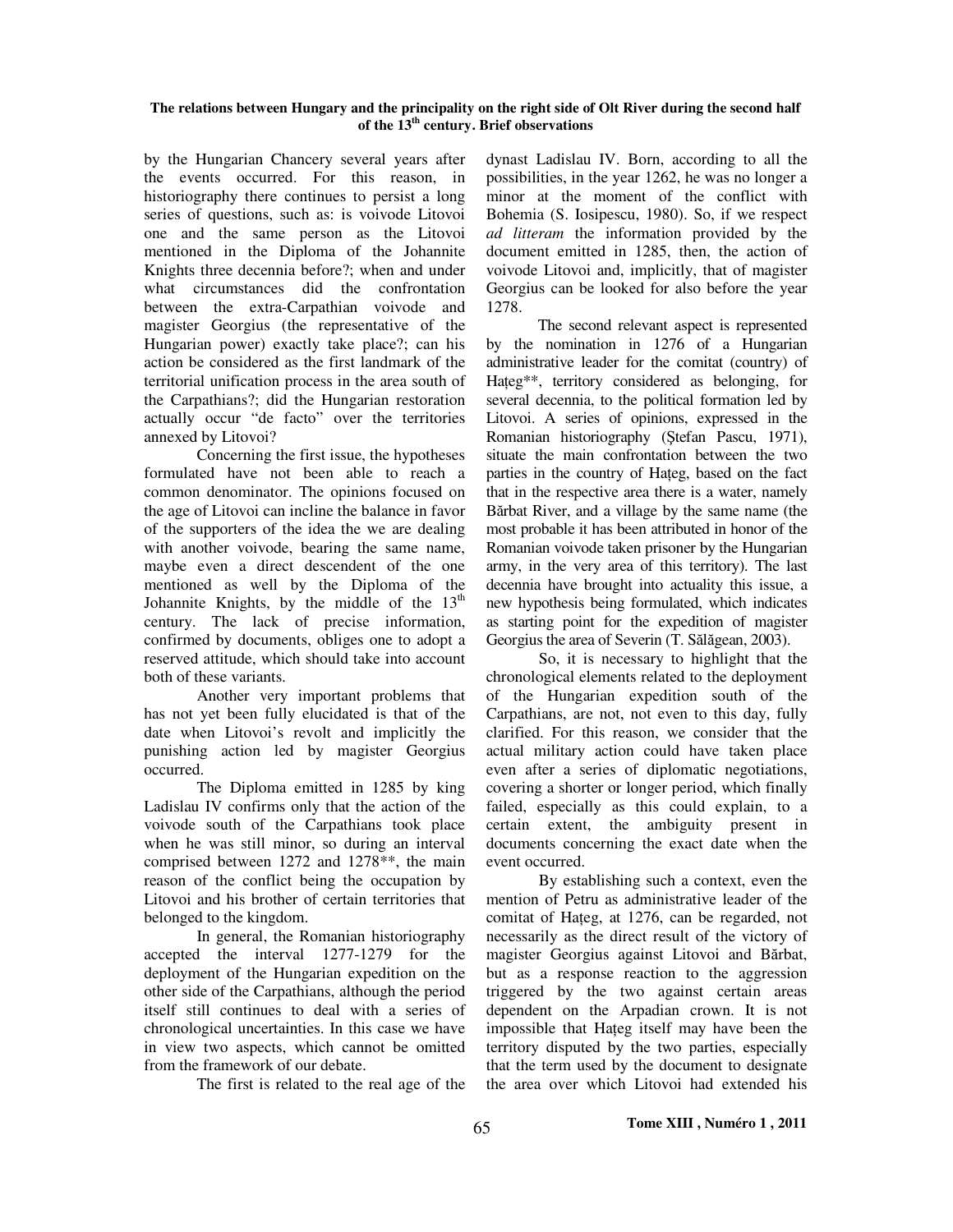## **The relations between Hungary and the principality on the right side of Olt River during the second half of the 13th century. Brief observations**

by the Hungarian Chancery several years after the events occurred. For this reason, in historiography there continues to persist a long series of questions, such as: is voivode Litovoi one and the same person as the Litovoi mentioned in the Diploma of the Johannite Knights three decennia before?; when and under what circumstances did the confrontation between the extra-Carpathian voivode and magister Georgius (the representative of the Hungarian power) exactly take place?; can his action be considered as the first landmark of the territorial unification process in the area south of the Carpathians?; did the Hungarian restoration actually occur "de facto" over the territories annexed by Litovoi?

Concerning the first issue, the hypotheses formulated have not been able to reach a common denominator. The opinions focused on the age of Litovoi can incline the balance in favor of the supporters of the idea the we are dealing with another voivode, bearing the same name, maybe even a direct descendent of the one mentioned as well by the Diploma of the Johannite Knights, by the middle of the  $13<sup>th</sup>$ century. The lack of precise information, confirmed by documents, obliges one to adopt a reserved attitude, which should take into account both of these variants.

Another very important problems that has not yet been fully elucidated is that of the date when Litovoi's revolt and implicitly the punishing action led by magister Georgius occurred.

The Diploma emitted in 1285 by king Ladislau IV confirms only that the action of the voivode south of the Carpathians took place when he was still minor, so during an interval comprised between 1272 and 1278\*\*, the main reason of the conflict being the occupation by Litovoi and his brother of certain territories that belonged to the kingdom.

In general, the Romanian historiography accepted the interval 1277-1279 for the deployment of the Hungarian expedition on the other side of the Carpathians, although the period itself still continues to deal with a series of chronological uncertainties. In this case we have in view two aspects, which cannot be omitted from the framework of our debate.

The first is related to the real age of the

dynast Ladislau IV. Born, according to all the possibilities, in the year 1262, he was no longer a minor at the moment of the conflict with Bohemia (S. Iosipescu, 1980). So, if we respect *ad litteram* the information provided by the document emitted in 1285, then, the action of voivode Litovoi and, implicitly, that of magister Georgius can be looked for also before the year 1278.

The second relevant aspect is represented by the nomination in 1276 of a Hungarian administrative leader for the comitat (country) of Hateg\*\*, territory considered as belonging, for several decennia, to the political formation led by Litovoi. A series of opinions, expressed in the Romanian historiography (Ştefan Pascu, 1971), situate the main confrontation between the two parties in the country of Hateg, based on the fact that in the respective area there is a water, namely Bărbat River, and a village by the same name (the most probable it has been attributed in honor of the Romanian voivode taken prisoner by the Hungarian army, in the very area of this territory). The last decennia have brought into actuality this issue, a new hypothesis being formulated, which indicates as starting point for the expedition of magister Georgius the area of Severin (T. Sălăgean, 2003).

So, it is necessary to highlight that the chronological elements related to the deployment of the Hungarian expedition south of the Carpathians, are not, not even to this day, fully clarified. For this reason, we consider that the actual military action could have taken place even after a series of diplomatic negotiations, covering a shorter or longer period, which finally failed, especially as this could explain, to a certain extent, the ambiguity present in documents concerning the exact date when the event occurred.

By establishing such a context, even the mention of Petru as administrative leader of the comitat of Hateg, at 1276, can be regarded, not necessarily as the direct result of the victory of magister Georgius against Litovoi and Bărbat, but as a response reaction to the aggression triggered by the two against certain areas dependent on the Arpadian crown. It is not impossible that Hateg itself may have been the territory disputed by the two parties, especially that the term used by the document to designate the area over which Litovoi had extended his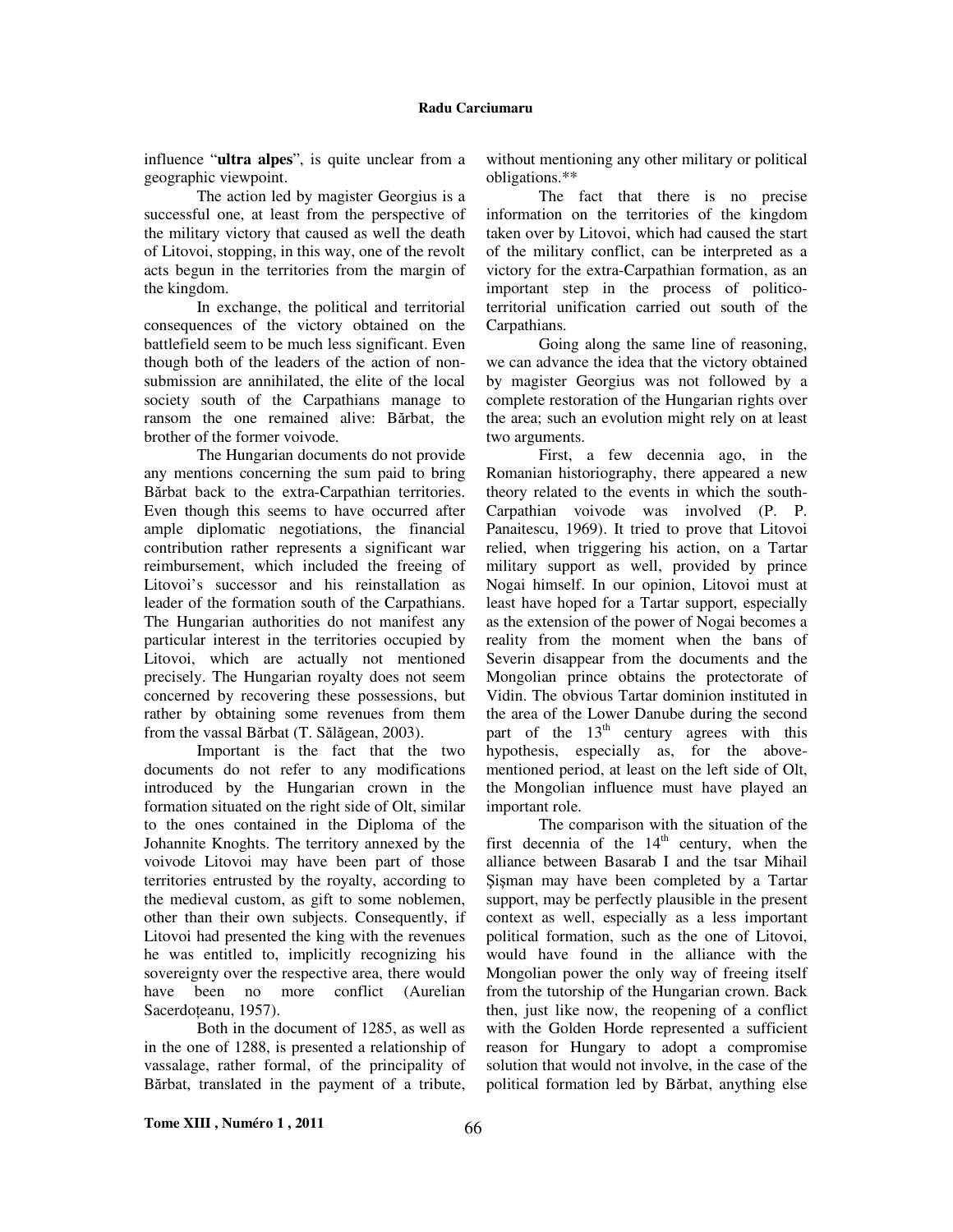#### **Radu Carciumaru**

influence "**ultra alpes**", is quite unclear from a geographic viewpoint.

The action led by magister Georgius is a successful one, at least from the perspective of the military victory that caused as well the death of Litovoi, stopping, in this way, one of the revolt acts begun in the territories from the margin of the kingdom.

In exchange, the political and territorial consequences of the victory obtained on the battlefield seem to be much less significant. Even though both of the leaders of the action of nonsubmission are annihilated, the elite of the local society south of the Carpathians manage to ransom the one remained alive: Bărbat, the brother of the former voivode.

The Hungarian documents do not provide any mentions concerning the sum paid to bring Bărbat back to the extra-Carpathian territories. Even though this seems to have occurred after ample diplomatic negotiations, the financial contribution rather represents a significant war reimbursement, which included the freeing of Litovoi's successor and his reinstallation as leader of the formation south of the Carpathians. The Hungarian authorities do not manifest any particular interest in the territories occupied by Litovoi, which are actually not mentioned precisely. The Hungarian royalty does not seem concerned by recovering these possessions, but rather by obtaining some revenues from them from the vassal Bărbat (T. Sălăgean, 2003).

Important is the fact that the two documents do not refer to any modifications introduced by the Hungarian crown in the formation situated on the right side of Olt, similar to the ones contained in the Diploma of the Johannite Knoghts. The territory annexed by the voivode Litovoi may have been part of those territories entrusted by the royalty, according to the medieval custom, as gift to some noblemen, other than their own subjects. Consequently, if Litovoi had presented the king with the revenues he was entitled to, implicitly recognizing his sovereignty over the respective area, there would have been no more conflict (Aurelian Sacerdoțeanu, 1957).

Both in the document of 1285, as well as in the one of 1288, is presented a relationship of vassalage, rather formal, of the principality of Bărbat, translated in the payment of a tribute, without mentioning any other military or political obligations.\*\*

The fact that there is no precise information on the territories of the kingdom taken over by Litovoi, which had caused the start of the military conflict, can be interpreted as a victory for the extra-Carpathian formation, as an important step in the process of politicoterritorial unification carried out south of the Carpathians.

Going along the same line of reasoning, we can advance the idea that the victory obtained by magister Georgius was not followed by a complete restoration of the Hungarian rights over the area; such an evolution might rely on at least two arguments.

First, a few decennia ago, in the Romanian historiography, there appeared a new theory related to the events in which the south-Carpathian voivode was involved (P. P. Panaitescu, 1969). It tried to prove that Litovoi relied, when triggering his action, on a Tartar military support as well, provided by prince Nogai himself. In our opinion, Litovoi must at least have hoped for a Tartar support, especially as the extension of the power of Nogai becomes a reality from the moment when the bans of Severin disappear from the documents and the Mongolian prince obtains the protectorate of Vidin. The obvious Tartar dominion instituted in the area of the Lower Danube during the second part of the  $13<sup>th</sup>$  century agrees with this hypothesis, especially as, for the abovementioned period, at least on the left side of Olt, the Mongolian influence must have played an important role.

The comparison with the situation of the first decennia of the  $14<sup>th</sup>$  century, when the alliance between Basarab I and the tsar Mihail Şişman may have been completed by a Tartar support, may be perfectly plausible in the present context as well, especially as a less important political formation, such as the one of Litovoi, would have found in the alliance with the Mongolian power the only way of freeing itself from the tutorship of the Hungarian crown. Back then, just like now, the reopening of a conflict with the Golden Horde represented a sufficient reason for Hungary to adopt a compromise solution that would not involve, in the case of the political formation led by Bărbat, anything else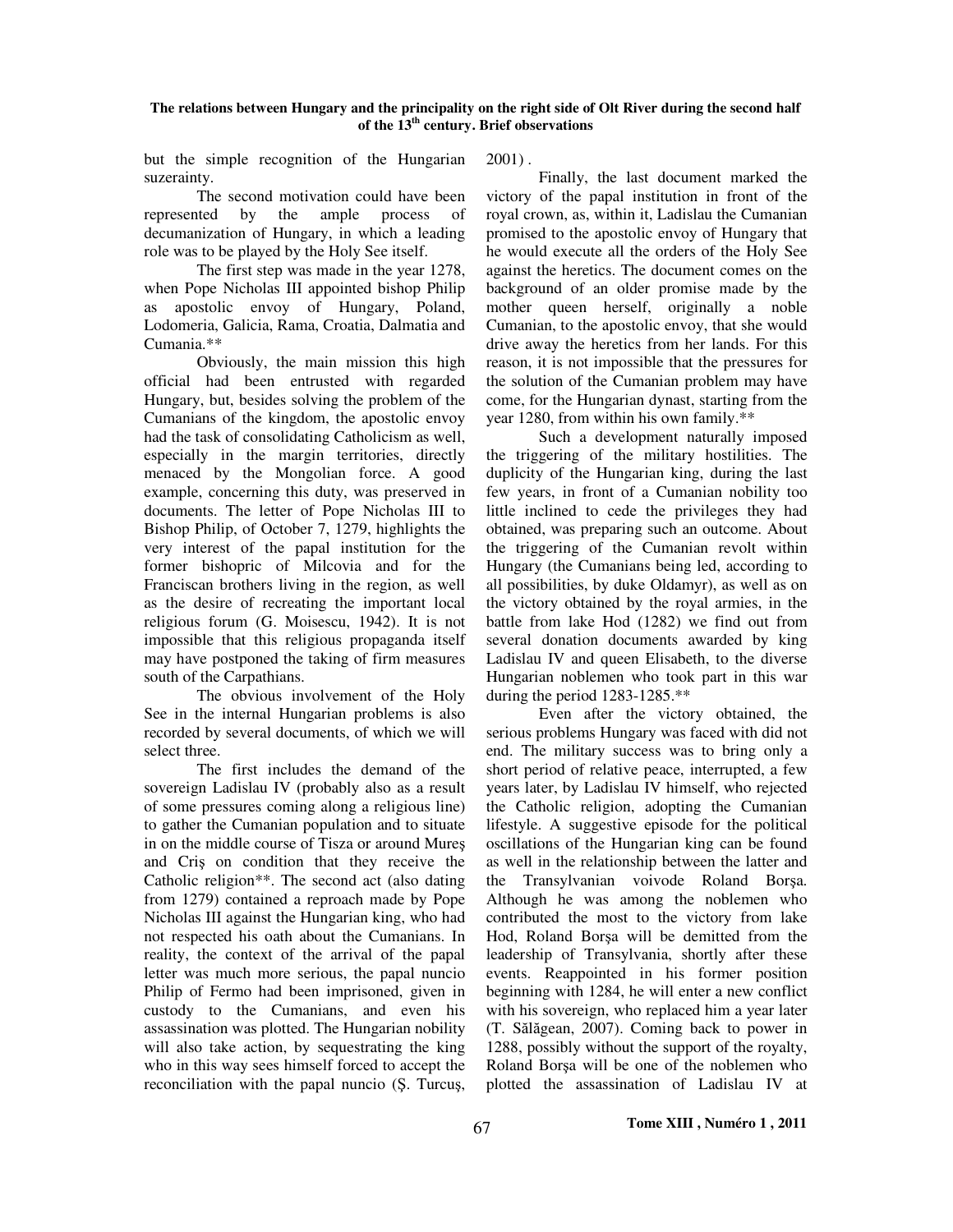## **The relations between Hungary and the principality on the right side of Olt River during the second half of the 13th century. Brief observations**

but the simple recognition of the Hungarian suzerainty.

The second motivation could have been represented by the ample process of decumanization of Hungary, in which a leading role was to be played by the Holy See itself.

The first step was made in the year 1278, when Pope Nicholas III appointed bishop Philip as apostolic envoy of Hungary, Poland, Lodomeria, Galicia, Rama, Croatia, Dalmatia and Cumania.\*\*

Obviously, the main mission this high official had been entrusted with regarded Hungary, but, besides solving the problem of the Cumanians of the kingdom, the apostolic envoy had the task of consolidating Catholicism as well, especially in the margin territories, directly menaced by the Mongolian force. A good example, concerning this duty, was preserved in documents. The letter of Pope Nicholas III to Bishop Philip, of October 7, 1279, highlights the very interest of the papal institution for the former bishopric of Milcovia and for the Franciscan brothers living in the region, as well as the desire of recreating the important local religious forum (G. Moisescu, 1942). It is not impossible that this religious propaganda itself may have postponed the taking of firm measures south of the Carpathians.

The obvious involvement of the Holy See in the internal Hungarian problems is also recorded by several documents, of which we will select three.

The first includes the demand of the sovereign Ladislau IV (probably also as a result of some pressures coming along a religious line) to gather the Cumanian population and to situate in on the middle course of Tisza or around Mureş and Criş on condition that they receive the Catholic religion\*\*. The second act (also dating from 1279) contained a reproach made by Pope Nicholas III against the Hungarian king, who had not respected his oath about the Cumanians. In reality, the context of the arrival of the papal letter was much more serious, the papal nuncio Philip of Fermo had been imprisoned, given in custody to the Cumanians, and even his assassination was plotted. The Hungarian nobility will also take action, by sequestrating the king who in this way sees himself forced to accept the reconciliation with the papal nuncio (Ş. Turcuş, 2001) .

Finally, the last document marked the victory of the papal institution in front of the royal crown, as, within it, Ladislau the Cumanian promised to the apostolic envoy of Hungary that he would execute all the orders of the Holy See against the heretics. The document comes on the background of an older promise made by the mother queen herself, originally a noble Cumanian, to the apostolic envoy, that she would drive away the heretics from her lands. For this reason, it is not impossible that the pressures for the solution of the Cumanian problem may have come, for the Hungarian dynast, starting from the year 1280, from within his own family.\*\*

Such a development naturally imposed the triggering of the military hostilities. The duplicity of the Hungarian king, during the last few years, in front of a Cumanian nobility too little inclined to cede the privileges they had obtained, was preparing such an outcome. About the triggering of the Cumanian revolt within Hungary (the Cumanians being led, according to all possibilities, by duke Oldamyr), as well as on the victory obtained by the royal armies, in the battle from lake Hod (1282) we find out from several donation documents awarded by king Ladislau IV and queen Elisabeth, to the diverse Hungarian noblemen who took part in this war during the period 1283-1285.\*\*

Even after the victory obtained, the serious problems Hungary was faced with did not end. The military success was to bring only a short period of relative peace, interrupted, a few years later, by Ladislau IV himself, who rejected the Catholic religion, adopting the Cumanian lifestyle. A suggestive episode for the political oscillations of the Hungarian king can be found as well in the relationship between the latter and the Transylvanian voivode Roland Borşa. Although he was among the noblemen who contributed the most to the victory from lake Hod, Roland Borşa will be demitted from the leadership of Transylvania, shortly after these events. Reappointed in his former position beginning with 1284, he will enter a new conflict with his sovereign, who replaced him a year later (T. Sălăgean, 2007). Coming back to power in 1288, possibly without the support of the royalty, Roland Borşa will be one of the noblemen who plotted the assassination of Ladislau IV at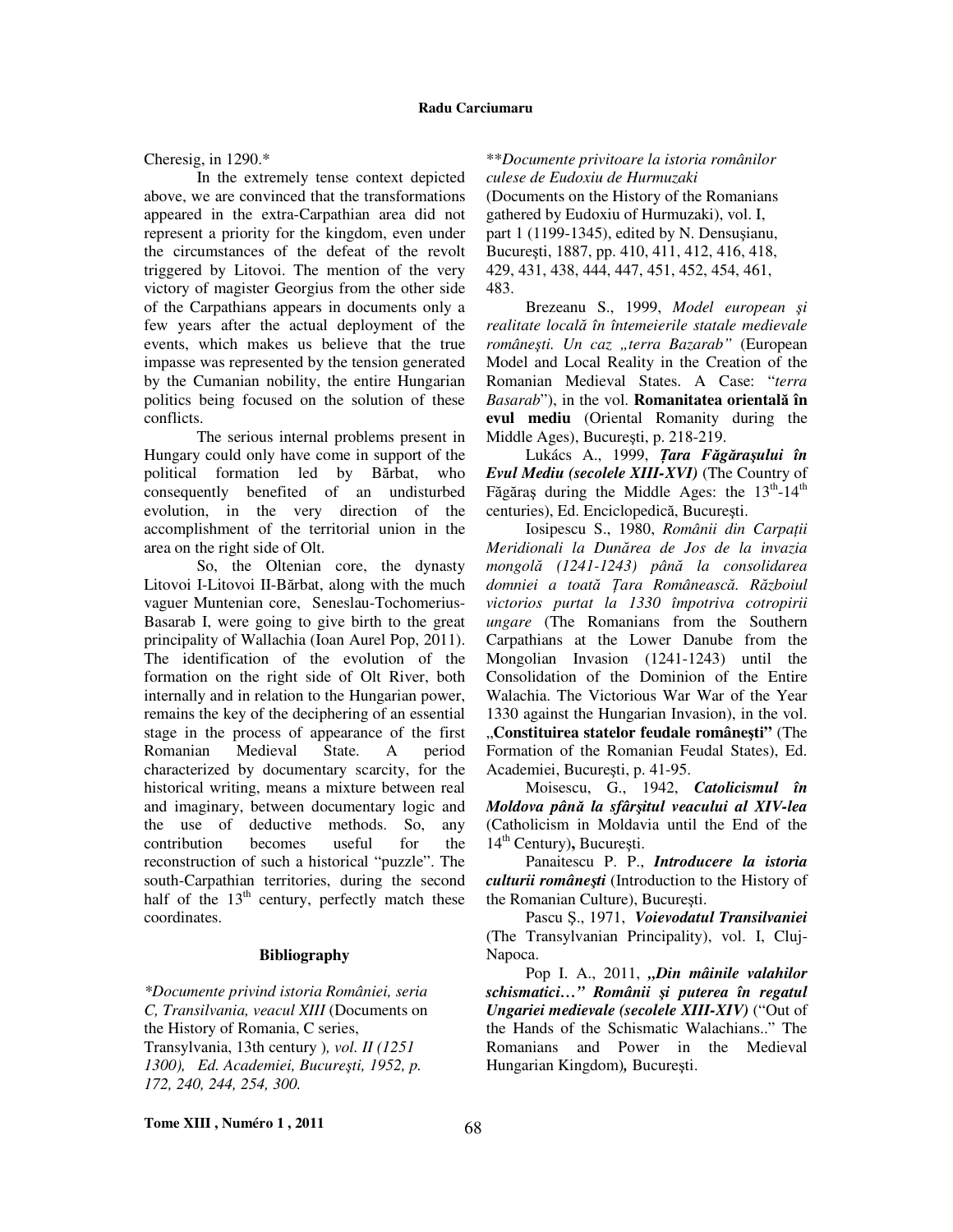Cheresig, in 1290.\*

In the extremely tense context depicted above, we are convinced that the transformations appeared in the extra-Carpathian area did not represent a priority for the kingdom, even under the circumstances of the defeat of the revolt triggered by Litovoi. The mention of the very victory of magister Georgius from the other side of the Carpathians appears in documents only a few years after the actual deployment of the events, which makes us believe that the true impasse was represented by the tension generated by the Cumanian nobility, the entire Hungarian politics being focused on the solution of these conflicts.

The serious internal problems present in Hungary could only have come in support of the political formation led by Bărbat, who consequently benefited of an undisturbed evolution, in the very direction of the accomplishment of the territorial union in the area on the right side of Olt.

So, the Oltenian core, the dynasty Litovoi I-Litovoi II-Bărbat, along with the much vaguer Muntenian core, Seneslau-Tochomerius-Basarab I, were going to give birth to the great principality of Wallachia (Ioan Aurel Pop, 2011). The identification of the evolution of the formation on the right side of Olt River, both internally and in relation to the Hungarian power, remains the key of the deciphering of an essential stage in the process of appearance of the first Romanian Medieval State. A period characterized by documentary scarcity, for the historical writing, means a mixture between real and imaginary, between documentary logic and the use of deductive methods. So, any contribution becomes useful for the reconstruction of such a historical "puzzle". The south-Carpathian territories, during the second half of the  $13<sup>th</sup>$  century, perfectly match these coordinates.

# **Bibliography**

*\*Documente privind istoria României, seria C, Transilvania, veacul XIII* (Documents on the History of Romania, C series, Transylvania, 13th century )*, vol. II (1251 1300), Ed. Academiei, Bucure*ş*ti, 1952, p. 172, 240, 244, 254, 300.* 

\*\**Documente privitoare la istoria românilor culese de Eudoxiu de Hurmuzaki* (Documents on the History of the Romanians gathered by Eudoxiu of Hurmuzaki), vol. I, part 1 (1199-1345), edited by N. Densuşianu, Bucureşti, 1887, pp. 410, 411, 412, 416, 418, 429, 431, 438, 444, 447, 451, 452, 454, 461, 483.

Brezeanu S., 1999, *Model european* ş*i realitate local*ă *în întemeierile statale medievale românesti. Un caz "terra Bazarab"* (European Model and Local Reality in the Creation of the Romanian Medieval States. A Case: "*terra Basarab*"), in the vol. **Romanitatea oriental**ă **în evul mediu** (Oriental Romanity during the Middle Ages), Bucureşti, p. 218-219.

Lukács A., 1999, Ţ*ara F*ă*g*ă*ra*ş*ului în Evul Mediu (secolele XIII-XVI)* (The Country of Făgăras during the Middle Ages: the  $13<sup>th</sup>$ -14<sup>th</sup> centuries), Ed. Enciclopedică, Bucureşti.

Iosipescu S., 1980, *Românii din Carpa*ţ*ii Meridionali la Dun*ă*rea de Jos de la invazia mongol*ă *(1241-1243) pân*ă *la consolidarea domniei a toat*ă Ţ*ara Româneasc*ă*. R*ă*zboiul victorios purtat la 1330 împotriva cotropirii ungare* (The Romanians from the Southern Carpathians at the Lower Danube from the Mongolian Invasion (1241-1243) until the Consolidation of the Dominion of the Entire Walachia. The Victorious War War of the Year 1330 against the Hungarian Invasion), in the vol. "**Constituirea statelor feudale române**ş**ti"** (The Formation of the Romanian Feudal States), Ed. Academiei, Bucureşti, p. 41-95.

Moisescu, G., 1942, *Catolicismul în Moldova pân*ă *la sfâr*ş*itul veacului al XIV-lea* (Catholicism in Moldavia until the End of the 14th Century)**,** Bucureşti.

Panaitescu P. P., *Introducere la istoria culturii române*ş*ti* (Introduction to the History of the Romanian Culture), Bucureşti.

Pascu Ş., 1971, *Voievodatul Transilvaniei*  (The Transylvanian Principality), vol. I, Cluj-Napoca.

Pop I. A., 2011, "*Din mâinile valahilor schismatici…" Românii* ş*i puterea în regatul Ungariei medievale (secolele XIII-XIV)* ("Out of the Hands of the Schismatic Walachians.." The Romanians and Power in the Medieval Hungarian Kingdom)*,* Bucureşti.

**Tome XIII , Numéro 1 , 2011**  68